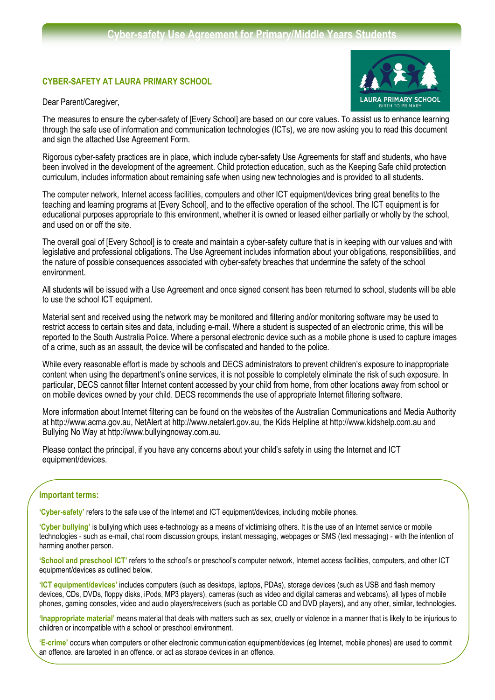## **CYBER-SAFETY AT LAURA PRIMARY SCHOOL**

Dear Parent/Caregiver,



The measures to ensure the cyber-safety of [Every School] are based on our core values. To assist us to enhance learning through the safe use of information and communication technologies (ICTs), we are now asking you to read this document and sign the attached Use Agreement Form.

Rigorous cyber-safety practices are in place, which include cyber-safety Use Agreements for staff and students, who have been involved in the development of the agreement. Child protection education, such as the Keeping Safe child protection curriculum, includes information about remaining safe when using new technologies and is provided to all students.

The computer network, Internet access facilities, computers and other ICT equipment/devices bring great benefits to the teaching and learning programs at [Every School], and to the effective operation of the school. The ICT equipment is for educational purposes appropriate to this environment, whether it is owned or leased either partially or wholly by the school, and used on or off the site.

The overall goal of [Every School] is to create and maintain a cyber-safety culture that is in keeping with our values and with legislative and professional obligations. The Use Agreement includes information about your obligations, responsibilities, and the nature of possible consequences associated with cyber-safety breaches that undermine the safety of the school environment.

All students will be issued with a Use Agreement and once signed consent has been returned to school, students will be able to use the school ICT equipment.

Material sent and received using the network may be monitored and filtering and/or monitoring software may be used to restrict access to certain sites and data, including e-mail. Where a student is suspected of an electronic crime, this will be reported to the South Australia Police. Where a personal electronic device such as a mobile phone is used to capture images of a crime, such as an assault, the device will be confiscated and handed to the police.

While every reasonable effort is made by schools and DECS administrators to prevent children's exposure to inappropriate content when using the department's online services, it is not possible to completely eliminate the risk of such exposure. In particular, DECS cannot filter Internet content accessed by your child from home, from other locations away from school or on mobile devices owned by your child. DECS recommends the use of appropriate Internet filtering software.

More information about Internet filtering can be found on the websites of the Australian Communications and Media Authority at http://www.acma.gov.au, NetAlert at http://www.netalert.gov.au, the Kids Helpline at http://www.kidshelp.com.au and Bullying No Way at http://www.bullyingnoway.com.au.

Please contact the principal, if you have any concerns about your child's safety in using the Internet and ICT equipment/devices.

### **Important terms:**

**'Cyber-safety'** refers to the safe use of the Internet and ICT equipment/devices, including mobile phones.

**'Cyber bullying'** is bullying which uses e-technology as a means of victimising others. It is the use of an Internet service or mobile technologies - such as e-mail, chat room discussion groups, instant messaging, webpages or SMS (text messaging) - with the intention of harming another person.

**'School and preschool ICT'** refers to the school's or preschool's computer network, Internet access facilities, computers, and other ICT equipment/devices as outlined below.

**'ICT equipment/devices'** includes computers (such as desktops, laptops, PDAs), storage devices (such as USB and flash memory devices, CDs, DVDs, floppy disks, iPods, MP3 players), cameras (such as video and digital cameras and webcams), all types of mobile phones, gaming consoles, video and audio players/receivers (such as portable CD and DVD players), and any other, similar, technologies.

**'Inappropriate material'** means material that deals with matters such as sex, cruelty or violence in a manner that is likely to be injurious to children or incompatible with a school or preschool environment.

'E-crime' occurs when computers or other electronic communication equipment/devices (eg Internet, mobile phones) are used to commit an offence, are targeted in an offence, or act as storage devices in an offence.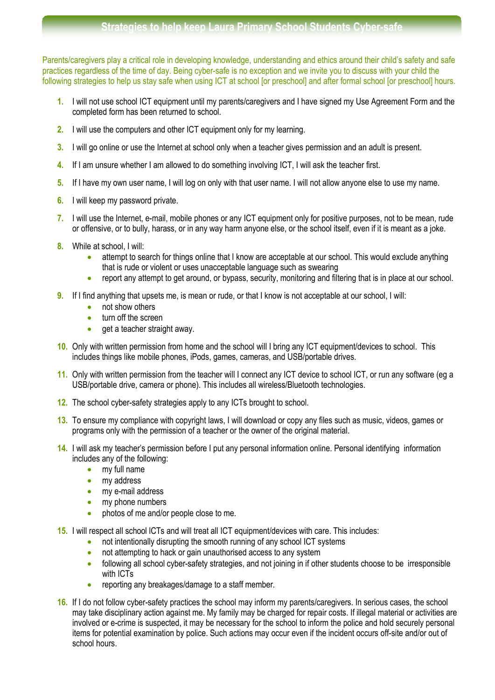Parents/caregivers play a critical role in developing knowledge, understanding and ethics around their child's safety and safe practices regardless of the time of day. Being cyber-safe is no exception and we invite you to discuss with your child the following strategies to help us stay safe when using ICT at school [or preschool] and after formal school [or preschool] hours.

- **1.** I will not use school ICT equipment until my parents/caregivers and I have signed my Use Agreement Form and the completed form has been returned to school.
- **2.** I will use the computers and other ICT equipment only for my learning.
- **3.** I will go online or use the Internet at school only when a teacher gives permission and an adult is present.
- **4.** If I am unsure whether I am allowed to do something involving ICT, I will ask the teacher first.
- **5.** If I have my own user name, I will log on only with that user name. I will not allow anyone else to use my name.
- **6.** I will keep my password private.
- **7.** I will use the Internet, e-mail, mobile phones or any ICT equipment only for positive purposes, not to be mean, rude or offensive, or to bully, harass, or in any way harm anyone else, or the school itself, even if it is meant as a joke.
- **8.** While at school, I will:
	- attempt to search for things online that I know are acceptable at our school. This would exclude anything that is rude or violent or uses unacceptable language such as swearing
	- report any attempt to get around, or bypass, security, monitoring and filtering that is in place at our school.
- **9.** If I find anything that upsets me, is mean or rude, or that I know is not acceptable at our school, I will:
	- not show others
	- turn off the screen
	- get a teacher straight away.
- **10.** Only with written permission from home and the school will I bring any ICT equipment/devices to school. This includes things like mobile phones, iPods, games, cameras, and USB/portable drives.
- **11.** Only with written permission from the teacher will I connect any ICT device to school ICT, or run any software (eg a USB/portable drive, camera or phone). This includes all wireless/Bluetooth technologies.
- **12.** The school cyber-safety strategies apply to any ICTs brought to school.
- **13.** To ensure my compliance with copyright laws, I will download or copy any files such as music, videos, games or programs only with the permission of a teacher or the owner of the original material.
- **14.** I will ask my teacher's permission before I put any personal information online. Personal identifying information includes any of the following:
	- my full name
	- my address
	- my e-mail address
	- my phone numbers
	- photos of me and/or people close to me.
- **15.** I will respect all school lCTs and will treat all ICT equipment/devices with care. This includes:
	- not intentionally disrupting the smooth running of any school ICT systems
	- not attempting to hack or gain unauthorised access to any system
	- following all school cyber-safety strategies, and not joining in if other students choose to be irresponsible with ICTs
	- reporting any breakages/damage to a staff member.
- **16.** If I do not follow cyber-safety practices the school may inform my parents/caregivers. In serious cases, the school may take disciplinary action against me. My family may be charged for repair costs. If illegal material or activities are involved or e-crime is suspected, it may be necessary for the school to inform the police and hold securely personal items for potential examination by police. Such actions may occur even if the incident occurs off-site and/or out of school hours.